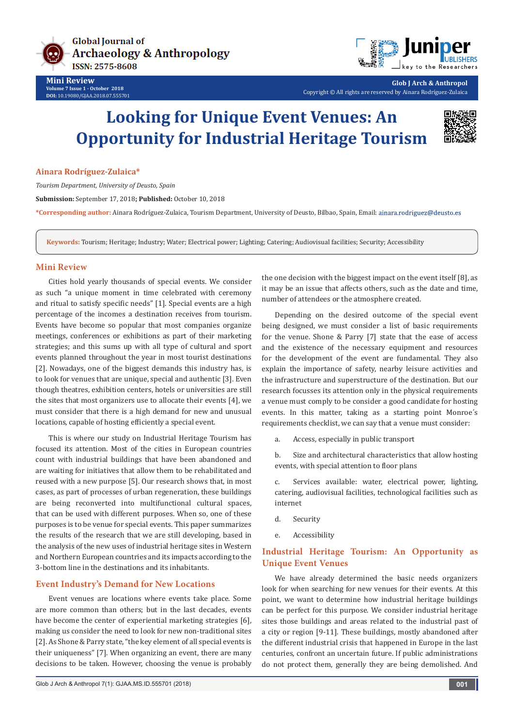



**Glob J Arch & Anthropol** Copyright © All rights are reserved by Ainara Rodríguez-Zulaica

# **Looking for Unique Event Venues: An Opportunity for Industrial Heritage Tourism**



**Ainara Rodríguez-Zulaica\***

*Tourism Department, University of Deusto, Spain*

**Submission:** September 17, 2018**; Published:** October 10, 2018

**\*Corresponding author:** Ainara Rodríguez-Zulaica, Tourism Department, University of Deusto, Bilbao, Spain, Email:

**Keywords:** Tourism; Heritage; Industry; Water; Electrical power; Lighting; Catering; Audiovisual facilities; Security; Accessibility

### **Mini Review**

Cities hold yearly thousands of special events. We consider as such "a unique moment in time celebrated with ceremony and ritual to satisfy specific needs" [1]. Special events are a high percentage of the incomes a destination receives from tourism. Events have become so popular that most companies organize meetings, conferences or exhibitions as part of their marketing strategies; and this sums up with all type of cultural and sport events planned throughout the year in most tourist destinations [2]. Nowadays, one of the biggest demands this industry has, is to look for venues that are unique, special and authentic [3]. Even though theatres, exhibition centers, hotels or universities are still the sites that most organizers use to allocate their events [4], we must consider that there is a high demand for new and unusual locations, capable of hosting efficiently a special event.

This is where our study on Industrial Heritage Tourism has focused its attention. Most of the cities in European countries count with industrial buildings that have been abandoned and are waiting for initiatives that allow them to be rehabilitated and reused with a new purpose [5]. Our research shows that, in most cases, as part of processes of urban regeneration, these buildings are being reconverted into multifunctional cultural spaces, that can be used with different purposes. When so, one of these purposes is to be venue for special events. This paper summarizes the results of the research that we are still developing, based in the analysis of the new uses of industrial heritage sites in Western and Northern European countries and its impacts according to the 3-bottom line in the destinations and its inhabitants.

# **Event Industry's Demand for New Locations**

Event venues are locations where events take place. Some are more common than others; but in the last decades, events have become the center of experiential marketing strategies [6], making us consider the need to look for new non-traditional sites [2]. As Shone & Parry state, "the key element of all special events is their uniqueness" [7]. When organizing an event, there are many decisions to be taken. However, choosing the venue is probably

the one decision with the biggest impact on the event itself [8], as it may be an issue that affects others, such as the date and time, number of attendees or the atmosphere created.

Depending on the desired outcome of the special event being designed, we must consider a list of basic requirements for the venue. Shone & Parry [7] state that the ease of access and the existence of the necessary equipment and resources for the development of the event are fundamental. They also explain the importance of safety, nearby leisure activities and the infrastructure and superstructure of the destination. But our research focusses its attention only in the physical requirements a venue must comply to be consider a good candidate for hosting events. In this matter, taking as a starting point Monroe´s requirements checklist, we can say that a venue must consider:

a. Access, especially in public transport

b. Size and architectural characteristics that allow hosting events, with special attention to floor plans

c. Services available: water, electrical power, lighting, catering, audiovisual facilities, technological facilities such as internet

- d. Security
- e. Accessibility

# **Industrial Heritage Tourism: An Opportunity as Unique Event Venues**

We have already determined the basic needs organizers look for when searching for new venues for their events. At this point, we want to determine how industrial heritage buildings can be perfect for this purpose. We consider industrial heritage sites those buildings and areas related to the industrial past of a city or region [9-11]. These buildings, mostly abandoned after the different industrial crisis that happened in Europe in the last centuries, confront an uncertain future. If public administrations do not protect them, generally they are being demolished. And